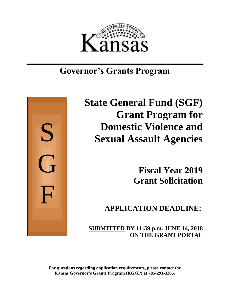

## **Governor's Grants Program**



# **State General Fund (SGF) Grant Program for Domestic Violence and Sexual Assault Agencies**

\_\_\_\_\_\_\_\_\_\_\_\_\_\_\_\_\_\_\_\_\_\_\_\_\_\_\_\_\_\_\_\_\_\_\_\_\_\_\_\_\_\_\_\_\_\_\_\_\_\_\_\_

**Fiscal Year 2019 Grant Solicitation**

**APPLICATION DEADLINE:**

 **SUBMITTED BY 11:59 p.m. JUNE 14, 2018 ON THE GRANT PORTAL**

**For questions regarding application requirements, please contact the Kansas Governor's Grants Program (KGGP) at 785-291-3205.**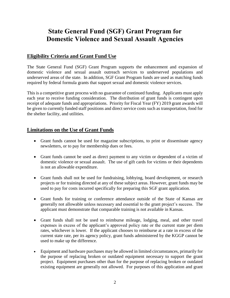## **State General Fund (SGF) Grant Program for Domestic Violence and Sexual Assault Agencies**

## **Eligibility Criteria and Grant Fund Use**

The State General Fund (SGF) Grant Program supports the enhancement and expansion of domestic violence and sexual assault outreach services to underserved populations and underserved areas of the state. In addition, SGF Grant Program funds are used as matching funds required by federal formula grants that support sexual and domestic violence services.

This is a competitive grant process with no guarantee of continued funding. Applicants must apply each year to receive funding consideration. The distribution of grant funds is contingent upon receipt of adequate funds and appropriations. Priority for Fiscal Year (FY) 2019 grant awards will be given to currently funded staff positions and direct service costs such as transportation, food for the shelter facility, and utilities.

## **Limitations on the Use of Grant Funds**

- Grant funds cannot be used for magazine subscriptions, to print or disseminate agency newsletters, or to pay for membership dues or fees.
- Grant funds cannot be used as direct payment to any victim or dependent of a victim of domestic violence or sexual assault. The use of gift cards for victims or their dependents is not an allowable expenditure.
- Grant funds shall not be used for fundraising, lobbying, board development, or research projects or for training directed at any of these subject areas. However, grant funds may be used to pay for costs incurred specifically for preparing this SGF grant application.
- Grant funds for training or conference attendance outside of the State of Kansas are generally not allowable unless necessary and essential to the grant project's success. The applicant must demonstrate that comparable training is not available in Kansas.
- Grant funds shall not be used to reimburse mileage, lodging, meal, and other travel expenses in excess of the applicant's approved policy rate or the current state per diem rates, whichever is lower. If the applicant chooses to reimburse at a rate in excess of the current state rate, per its agency policy, grant funds administered by the KGGP cannot be used to make up the difference.
- Equipment and hardware purchases may be allowed in limited circumstances, primarily for the purpose of replacing broken or outdated equipment necessary to support the grant project. Equipment purchases other than for the purpose of replacing broken or outdated existing equipment are generally not allowed. For purposes of this application and grant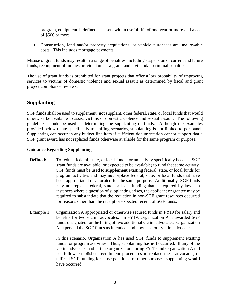program, equipment is defined as assets with a useful life of one year or more and a cost of \$500 or more.

• Construction, land and/or property acquisitions, or vehicle purchases are unallowable costs. This includes mortgage payments.

Misuse of grant funds may result in a range of penalties, including suspension of current and future funds, recoupment of monies provided under a grant, and civil and/or criminal penalties.

The use of grant funds is prohibited for grant projects that offer a low probability of improving services to victims of domestic violence and sexual assault as determined by fiscal and grant project compliance reviews.

## **Supplanting**

SGF funds shall be used to supplement, **not** supplant, other federal, state, or local funds that would otherwise be available to assist victims of domestic violence and sexual assault. The following guidelines should be used in determining the supplanting of funds. Although the examples provided below relate specifically to staffing scenarios, supplanting is not limited to personnel. Supplanting can occur in any budget line item if sufficient documentation cannot support that a SGF grant award has not replaced funds otherwise available for the same program or purpose.

#### **Guidance Regarding Supplanting**

- **Defined:** To reduce federal, state, or local funds for an activity specifically because SGF grant funds are available (or expected to be available) to fund that same activity. SGF funds must be used to **supplement** existing federal, state, or local funds for program activities and may **not replace** federal, state, or local funds that have been appropriated or allocated for the same purpose. Additionally, SGF funds may not replace federal, state, or local funding that is required by law. In instances where a question of supplanting arises, the applicant or grantee may be required to substantiate that the reduction in non-SGF grant resources occurred for reasons other than the receipt or expected receipt of SGF funds.
- Example 1 Organization A appropriated or otherwise secured funds in FY19 for salary and benefits for two victim advocates. In FY19, Organization A is awarded SGF funds designated for the hiring of two additional victim advocates. Organization A expended the SGF funds as intended, and now has four victim advocates.

In this scenario, Organization A has used SGF funds to supplement existing funds for program activities. Thus, supplanting has **not** occurred. If any of the victim advocates had left the organization during FY 19 and Organization A did not follow established recruitment procedures to replace these advocates, or utilized SGF funding for those positions for other purposes, supplanting **would** have occurred.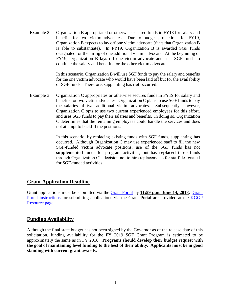Example 2 Organization B appropriated or otherwise secured funds in FY18 for salary and benefits for two victim advocates. Due to budget projections for FY19, Organization B expects to lay off one victim advocate (facts that Organization B is able to substantiate). In FY19, Organization B is awarded SGF funds designated for the hiring of one additional victim advocate. At the beginning of FY19, Organization B lays off one victim advocate and uses SGF funds to continue the salary and benefits for the other victim advocate.

> In this scenario, Organization B will use SGF funds to pay the salary and benefits for the one victim advocate who would have been laid off but for the availability of SGF funds. Therefore, supplanting has **not** occurred.

Example 3 Organization C appropriates or otherwise secures funds in FY19 for salary and benefits for two victim advocates. Organization C plans to use SGF funds to pay the salaries of two additional victim advocates. Subsequently, however, Organization C opts to use two current experienced employees for this effort, and uses SGF funds to pay their salaries and benefits. In doing so, Organization C determines that the remaining employees could handle the services and does not attempt to backfill the positions.

> In this scenario, by replacing existing funds with SGF funds, supplanting **has** occurred. Although Organization C may use experienced staff to fill the new SGF-funded victim advocate positions, use of the SGF funds has not **supplemented** funds for program activities, but has **replaced** those funds through Organization C's decision not to hire replacements for staff designated for SGF-funded activities.

## **Grant Application Deadline**

Grant applications must be submitted via the [Grant Portal](https://www.kansas.gov/grants/index.do) by **11:59 p.m. June 14, 2018.** [Grant](http://grants.ks.gov/docs/default-source/how-to-guides/application-portal-instructions.pdf?sfvrsn=4)  [Portal instructions](http://grants.ks.gov/docs/default-source/how-to-guides/application-portal-instructions.pdf?sfvrsn=4) for submitting applications via the Grant Portal are provided at the KGGP [Resource page.](http://www.grants.ks.gov/resources/getting-started)

## **Funding Availability**

Although the final state budget has not been signed by the Governor as of the release date of this solicitation, funding availability for the FY 2019 SGF Grant Program is estimated to be approximately the same as in FY 2018. **Programs should develop their budget request with the goal of maintaining level funding to the best of their ability. Applicants must be in good standing with current grant awards.**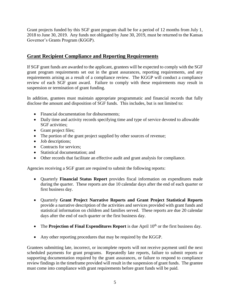Grant projects funded by this SGF grant program shall be for a period of 12 months from July 1, 2018 to June 30, 2019. Any funds not obligated by June 30, 2019, must be returned to the Kansas Governor's Grants Program (KGGP).

## **Grant Recipient Compliance and Reporting Requirements**

If SGF grant funds are awarded to the applicant, grantees will be expected to comply with the SGF grant program requirements set out in the grant assurances, reporting requirements, and any requirements arising as a result of a compliance review. The KGGP will conduct a compliance review of each SGF grant award. Failure to comply with these requirements may result in suspension or termination of grant funding.

In addition, grantees must maintain appropriate programmatic and financial records that fully disclose the amount and disposition of SGF funds. This includes, but is not limited to:

- Financial documentation for disbursements;
- Daily time and activity records specifying time and type of service devoted to allowable SGF activities;
- Grant project files;
- The portion of the grant project supplied by other sources of revenue;
- Job descriptions;
- Contracts for services;
- Statistical documentation: and
- Other records that facilitate an effective audit and grant analysis for compliance.

Agencies receiving a SGF grant are required to submit the following reports:

- Quarterly **Financial Status Report** provides fiscal information on expenditures made during the quarter. These reports are due 10 calendar days after the end of each quarter or first business day.
- Quarterly **Grant Project Narrative Reports and Grant Project Statistical Reports** provide a narrative description of the activities and services provided with grant funds and statistical information on children and families served. These reports are due 20 calendar days after the end of each quarter or the first business day.
- The **Projection of Final Expenditures Report** is due April 10<sup>th</sup> or the first business day.
- Any other reporting procedures that may be required by the KGGP.

Grantees submitting late, incorrect, or incomplete reports will not receive payment until the next scheduled payments for grant programs. Repeatedly late reports, failure to submit reports or supporting documentation required by the grant assurances, or failure to respond to compliance review findings in the timeframe provided will result in the suspension of grant funds. The grantee must come into compliance with grant requirements before grant funds will be paid.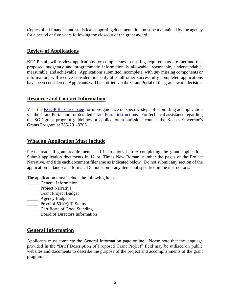Copies of all financial and statistical supporting documentation must be maintained by the agency for a period of five years following the closeout of the grant award.

## **Review of Applications**

KGGP staff will review applications for completeness, ensuring requirements are met and that proposed budgetary and programmatic information is allowable, reasonable, understandable, measurable, and achievable. Applications submitted incomplete, with *any* missing components or information, will receive consideration only after all other successfully completed applications have been considered. Applicants will be notified via the Grant Portal of the grant award decision.

### **Resource and Contact Information**

Visit the **KGGP** Resource page for more guidance on specific steps of submitting an application via the Grant Portal and for detailed [Grant Portal instructions.](http://grants.ks.gov/docs/default-source/how-to-guides/application-portal-instructions.pdf?sfvrsn=4) For technical assistance regarding the SGF grant program guidelines or application submission, contact the Kansas Governor's Grants Program at 785-291-3205.

## **What an Application Must Include**

Please read all grant requirements and instructions before completing the grant application. Submit application documents in 12 pt. Times New Roman, number the pages of the Project Narrative, and title each document filename as indicated below. Do not submit any section of the application in landscape format. Do not submit any items not specified in the instructions.

The application must include the following items:

- \_\_\_\_\_ General Information
- **\_\_\_\_\_** Project Narrative
- \_\_\_\_\_ Grant Project Budget
- \_\_\_\_\_ Agency Budgets
- Proof of  $501(c)(3)$  Status
- **Certificate of Good Standing**
- \_\_\_\_\_ Board of Directors Information

## **General Information**

Applicants must complete the General Information page online. Please note that the language provided in the "Brief Description of Proposed Grant Project" field may be utilized on public websites and documents to describe the purpose of the project and accomplishments of the grant program.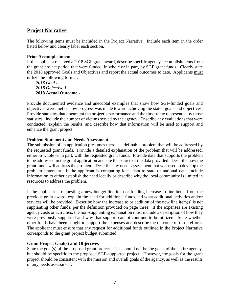## **Project Narrative**

The following items must be included in the Project Narrative. Include each item in the order listed below and clearly label each section.

#### **Prior Accomplishments**

If the applicant received a 2018 SGF grant award, describe specific agency accomplishments from the grant project period that were funded, in whole or in part, by SGF grant funds. Clearly state the 2018 approved Goals and Objectives and report the actual outcomes to date. Applicants must utilize the following format:

*2018 Goal I – 2018 Objective 1 –* **2018 Actual Outcome -**

Provide documented evidence and anecdotal examples that show how SGF-funded goals and objectives were met or how progress was made toward achieving the stated goals and objectives. Provide statistics that document the project's performance and the timeframe represented by those statistics. Include the number of victims served by the agency. Describe any evaluations that were conducted, explain the results, and describe how that information will be used to support and enhance the grant project.

#### **Problem Statement and Needs Assessment**

The submission of an application presumes there is a definable problem that will be addressed by the requested grant funds. Provide a detailed explanation of the problem that will be addressed, either in whole or in part, with the requested grant funds. Provide data that supports the problem to be addressed in the grant application and site the source of the data provided. Describe how the grant funds will address the problem. Describe any needs assessment that was used to develop the problem statement. If the applicant is comparing local data to state or national data, include information to either establish the need locally or describe why the local community is limited in resources to address the problem.

If the applicant is requesting a new budget line item or funding increase to line items from the previous grant award, explain the need for additional funds and what additional activities and/or services will be provided. Describe how the increase to or addition of the new line item(s) is not supplanting other funds, per the definition provided on page three. If the expenses are existing agency costs or activities, the non-supplanting explanation must include a description of how they were previously supported and why that support cannot continue to be utilized. State whether other funds have been sought to support the expenses and describe the outcome of those efforts. The applicant must ensure that any request for additional funds outlined in the Project Narrative corresponds to the grant project budget submitted.

#### **Grant Project Goal(s) and Objectives**

State the goal(s) of the proposed grant project. This should not be the goals of the entire agency, but should be specific to the proposed SGF-supported project. However, the goals for the grant project should be consistent with the mission and overall goals of the agency, as well as the results of any needs assessment.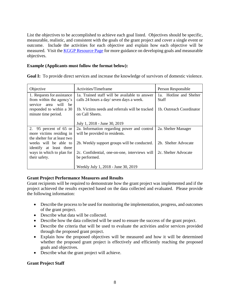List the objectives to be accomplished to achieve each goal listed. Objectives should be specific, measurable, realistic, and consistent with the goals of the grant project and cover a single event or outcome. Include the activities for each objective and explain how each objective will be measured. Visit the [KGGP Resource Page](http://www.grants.ks.gov/resources/getting-started) for more guidance on developing goals and measurable objectives.

#### **Example (Applicants must follow the format below):**

**Goal I:** To provide direct services and increase the knowledge of survivors of domestic violence.

| Objective                     | Activities/Timeframe                            | Person Responsible         |  |
|-------------------------------|-------------------------------------------------|----------------------------|--|
| 1. Requests for assistance    | 1a. Trained staff will be available to answer   | Hotline and Shelter<br>1a. |  |
| from within the agency's      | calls 24 hours a day/ seven days a week.        | Staff                      |  |
| will<br>service<br>be<br>area |                                                 |                            |  |
| responded to within a 30      | 1b. Victims needs and referrals will be tracked | 1b. Outreach Coordinator   |  |
| minute time period.           | on Call Sheets.                                 |                            |  |
|                               |                                                 |                            |  |
|                               | July 1, 2018 - June 30, 2019                    |                            |  |
| 2. 95 percent of $65$ or      | 2a. Information regarding power and control     | 2a. Shelter Manager        |  |
| more victims residing in      | will be provided to residents.                  |                            |  |
| the shelter for at least two  |                                                 |                            |  |
| weeks will be able to         | 2b. Weekly support groups will be conducted.    | 2b. Shelter Advocate       |  |
| identify at least three       |                                                 |                            |  |
| ways in which to plan for     | 2c. Confidential, one-on-one, interviews will   | 2c. Shelter Advocate       |  |
| their safety.                 | be performed.                                   |                            |  |
|                               |                                                 |                            |  |
|                               | Weekly July 1, 2018 - June 30, 2019             |                            |  |

#### **Grant Project Performance Measures and Results**

Grant recipients will be required to demonstrate how the grant project was implemented and if the project achieved the results expected based on the data collected and evaluated. Please provide the following information:

- Describe the process to be used for monitoring the implementation, progress, and outcomes of the grant project.
- Describe what data will be collected.
- Describe how the data collected will be used to ensure the success of the grant project.
- Describe the criteria that will be used to evaluate the activities and/or services provided through the proposed grant project.
- Explain how the proposed objectives will be measured and how it will be determined whether the proposed grant project is effectively and efficiently reaching the proposed goals and objectives.
- Describe what the grant project will achieve.

#### **Grant Project Staff**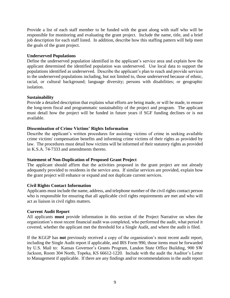Provide a list of each staff member to be funded with the grant along with staff who will be responsible for monitoring and evaluating the grant project. Include the name, title, and a brief job description for each staff listed. In addition, describe how this staffing pattern will help meet the goals of the grant project.

#### **Underserved Populations**

Define the underserved population identified in the applicant's service area and explain how the applicant determined the identified population was underserved. Use local data to support the populations identified as underserved. Describe the applicant's plan to reach and provide services to the underserved populations including, but not limited to, those underserved because of ethnic, racial, or cultural background; language diversity; persons with disabilities; or geographic isolation.

#### **Sustainability**

Provide a detailed description that explains what efforts are being made, or will be made, to ensure the long-term fiscal and programmatic sustainability of the project and program. The applicant must detail how the project will be funded in future years if SGF funding declines or is not available.

#### **Dissemination of Crime Victims' Rights Information**

Describe the applicant's written procedures for assisting victims of crime in seeking available crime victims' compensation benefits and informing crime victims of their rights as provided by law. The procedures must detail how victims will be informed of their statutory rights as provided in K.S.A. 74-7333 and amendments thereto.

#### **Statement of Non-Duplication of Proposed Grant Project**

The applicant should affirm that the activities proposed in the grant project are not already adequately provided to residents in the service area. If similar services are provided, explain how the grant project will enhance or expand and not duplicate current services.

#### **Civil Rights Contact Information**

Applicants must include the name, address, and telephone number of the civil rights contact person who is responsible for ensuring that all applicable civil rights requirements are met and who will act as liaison in civil rights matters.

#### **Current Audit Report**

All applicants **must** provide information in this section of the Project Narrative on when the organization's most recent financial audit was completed, who performed the audit, what period it covered, whether the applicant met the threshold for a Single Audit, and where the audit is filed.

If the KGGP has **not** previously received a copy of the organization's most recent audit report, including the Single Audit report if applicable, and IRS Form 990, those items must be forwarded by U.S. Mail to: Kansas Governor's Grants Program, Landon State Office Building, 900 SW Jackson, Room 304 North, Topeka, KS 66612-1220. Include with the audit the Auditor's Letter to Management if applicable. If there are any findings and/or recommendations in the audit report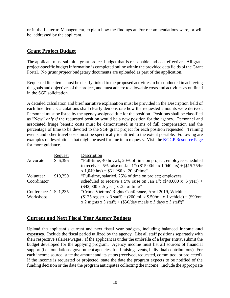or in the Letter to Management, explain how the findings and/or recommendations were, or will be, addressed by the applicant.

## **Grant Project Budget**

The applicant must submit a grant project budget that is reasonable and cost effective. All grant project-specific budget information is completed online within the provided data fields of the Grant Portal. No *grant project* budgetary documents are uploaded as part of the application.

Requested line items must be clearly linked to the proposed activities to be conducted in achieving the goals and objectives of the project, and must adhere to allowable costs and activities as outlined in the SGF solicitation.

A detailed calculation and brief narrative explanation must be provided in the Description field of each line item. Calculations shall clearly demonstrate how the requested amounts were derived. Personnel must be listed by the agency-assigned title for the position. Positions shall be classified as "New" *only if* the requested position would be a new position for the agency. Personnel and associated fringe benefit costs must be demonstrated in terms of full compensation and the percentage of time to be devoted to the SGF grant project for each position requested. Training events and other travel costs must be specifically identified to the extent possible. Following are examples of descriptions that might be used for line item requests. Visit the [KGGP Resource Page](http://www.grants.ks.gov/resources/getting-started) for more guidance.

|                       | Request  | Description                                                                                    |
|-----------------------|----------|------------------------------------------------------------------------------------------------|
| Advocate              | \$6,396  | "Full-time, 40 hrs/wk, 20% of time on project; employee scheduled                              |
|                       |          | to receive a 5% raise on Jan 1 <sup>st</sup> : (\$15.00/hr x 1,040 hrs) + (\$15.75/hr          |
|                       |          | x 1,040 hrs) = $$31,980$ x .20 of time"                                                        |
| Volunteer             | \$10,250 | "Full-time, salaried, 25% of time on project; employees                                        |
| Coordinator           |          | scheduled to receive a 5% raise on Jan 1 <sup>st</sup> : $(\$40,000 \times .5 \text{ year})$ + |
|                       |          | (\$42,000 x .5 year) x .25 of time"                                                            |
| Conferences/ $$1,235$ |          | "Crime Victims' Rights Conference, April 2019, Wichita:                                        |
| Workshops             |          | $($125$ registr. x 3 staff) + (200 mi. x \$.50/mi. x 1 vehicle) + (\$90/nt.                    |
|                       |          | x 2 nights x 3 staff) + $(\$30/day$ meals x 3 days x 3 staff)"                                 |

## **Current and Next Fiscal Year Agency Budgets**

Upload the applicant's current and next fiscal year budgets, including balanced **income and expenses**. Include the fiscal period utilized by the agency. List all staff positions separately with their respective salaries/wages. If the applicant is under the umbrella of a larger entity, submit the budget developed for the applying program. Agency income must list **all** sources of financial support (i.e. foundations, government agencies, fund-raising events, individual contributions). For each income source, state the amount and its status (received, requested, committed, or projected). If the income is requested or projected, state the date the program expects to be notified of the funding decision or the date the program anticipates collecting the income. Include the appropriate